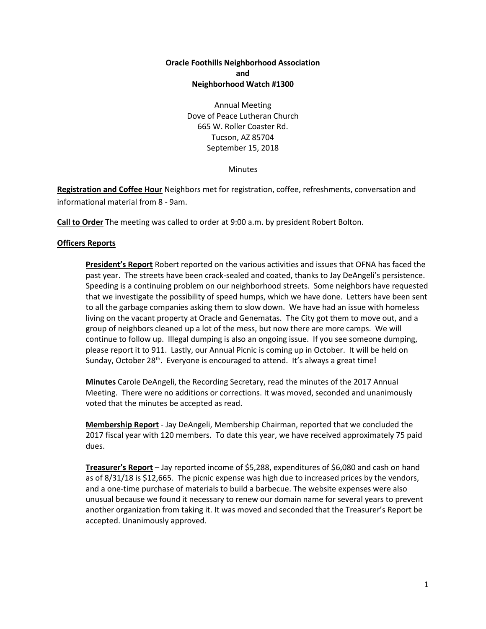# **Oracle Foothills Neighborhood Association and Neighborhood Watch #1300**

Annual Meeting Dove of Peace Lutheran Church 665 W. Roller Coaster Rd. Tucson, AZ 85704 September 15, 2018

**Minutes** 

**Registration and Coffee Hour** Neighbors met for registration, coffee, refreshments, conversation and informational material from 8 - 9am.

**Call to Order** The meeting was called to order at 9:00 a.m. by president Robert Bolton.

## **Officers Reports**

**President's Report** Robert reported on the various activities and issues that OFNA has faced the past year. The streets have been crack-sealed and coated, thanks to Jay DeAngeli's persistence. Speeding is a continuing problem on our neighborhood streets. Some neighbors have requested that we investigate the possibility of speed humps, which we have done. Letters have been sent to all the garbage companies asking them to slow down. We have had an issue with homeless living on the vacant property at Oracle and Genematas. The City got them to move out, and a group of neighbors cleaned up a lot of the mess, but now there are more camps. We will continue to follow up. Illegal dumping is also an ongoing issue. If you see someone dumping, please report it to 911. Lastly, our Annual Picnic is coming up in October. It will be held on Sunday, October 28<sup>th</sup>. Everyone is encouraged to attend. It's always a great time!

**Minutes** Carole DeAngeli, the Recording Secretary, read the minutes of the 2017 Annual Meeting. There were no additions or corrections. It was moved, seconded and unanimously voted that the minutes be accepted as read.

**Membership Report** - Jay DeAngeli, Membership Chairman, reported that we concluded the 2017 fiscal year with 120 members. To date this year, we have received approximately 75 paid dues.

**Treasurer's Report** – Jay reported income of \$5,288, expenditures of \$6,080 and cash on hand as of 8/31/18 is \$12,665. The picnic expense was high due to increased prices by the vendors, and a one-time purchase of materials to build a barbecue. The website expenses were also unusual because we found it necessary to renew our domain name for several years to prevent another organization from taking it. It was moved and seconded that the Treasurer's Report be accepted. Unanimously approved.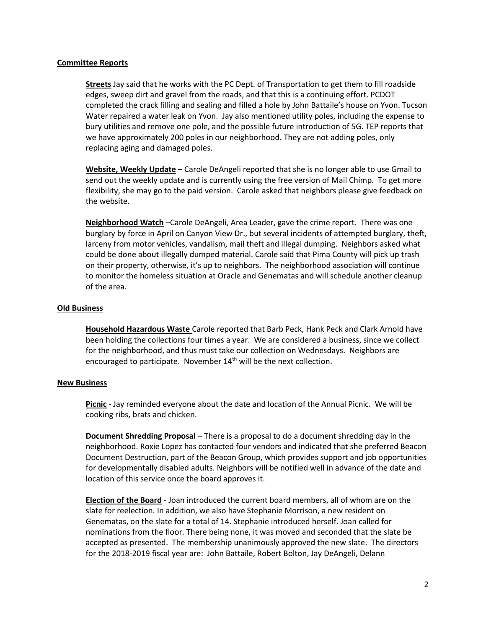### **Committee Reports**

**Streets** Jay said that he works with the PC Dept. of Transportation to get them to fill roadside edges, sweep dirt and gravel from the roads, and that this is a continuing effort. PCDOT completed the crack filling and sealing and filled a hole by John Battaile's house on Yvon. Tucson Water repaired a water leak on Yvon. Jay also mentioned utility poles, including the expense to bury utilities and remove one pole, and the possible future introduction of 5G. TEP reports that we have approximately 200 poles in our neighborhood. They are not adding poles, only replacing aging and damaged poles.

**Website, Weekly Update** – Carole DeAngeli reported that she is no longer able to use Gmail to send out the weekly update and is currently using the free version of Mail Chimp. To get more flexibility, she may go to the paid version. Carole asked that neighbors please give feedback on the website.

**Neighborhood Watch** –Carole DeAngeli, Area Leader, gave the crime report. There was one burglary by force in April on Canyon View Dr., but several incidents of attempted burglary, theft, larceny from motor vehicles, vandalism, mail theft and illegal dumping. Neighbors asked what could be done about illegally dumped material. Carole said that Pima County will pick up trash on their property, otherwise, it's up to neighbors. The neighborhood association will continue to monitor the homeless situation at Oracle and Genematas and will schedule another cleanup of the area.

## **Old Business**

**Household Hazardous Waste** Carole reported that Barb Peck, Hank Peck and Clark Arnold have been holding the collections four times a year. We are considered a business, since we collect for the neighborhood, and thus must take our collection on Wednesdays. Neighbors are encouraged to participate. November  $14<sup>th</sup>$  will be the next collection.

### **New Business**

**Picnic** - Jay reminded everyone about the date and location of the Annual Picnic. We will be cooking ribs, brats and chicken.

**Document Shredding Proposal** – There is a proposal to do a document shredding day in the neighborhood. Roxie Lopez has contacted four vendors and indicated that she preferred Beacon Document Destruction, part of the Beacon Group, which provides support and job opportunities for developmentally disabled adults. Neighbors will be notified well in advance of the date and location of this service once the board approves it.

**Election of the Board** - Joan introduced the current board members, all of whom are on the slate for reelection. In addition, we also have Stephanie Morrison, a new resident on Genematas, on the slate for a total of 14. Stephanie introduced herself. Joan called for nominations from the floor. There being none, it was moved and seconded that the slate be accepted as presented. The membership unanimously approved the new slate. The directors for the 2018-2019 fiscal year are: John Battaile, Robert Bolton, Jay DeAngeli, Delann